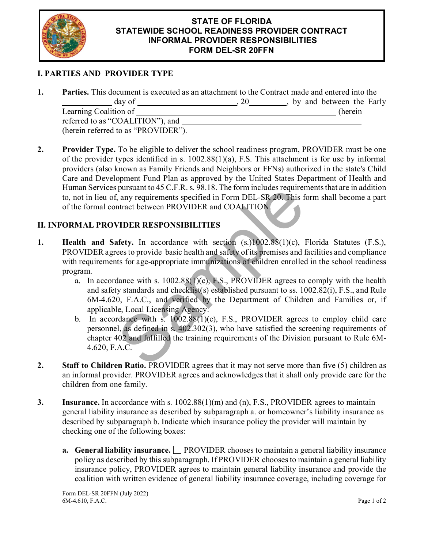

## **STATE OF FLORIDA STATEWIDE SCHOOL READINESS PROVIDER CONTRACT INFORMAL PROVIDER RESPONSIBILITIES FORM DEL-SR 20FFN**

## **I. PARTIES AND PROVIDER TYPE**

| <b>Parties.</b> This document is executed as an attachment to the Contract made and entered into the |  |                                 |
|------------------------------------------------------------------------------------------------------|--|---------------------------------|
| day of                                                                                               |  | , 20 , by and between the Early |
| Learning Coalition of                                                                                |  | (herein)                        |
| referred to as "COALITION"), and                                                                     |  |                                 |
| (herein referred to as "PROVIDER").                                                                  |  |                                 |

**2. Provider Type.** To be eligible to deliver the school readiness program, PROVIDER must be one of the provider types identified in s. 1002.88(1)(a), F.S. This attachment is for use by informal providers (also known as Family Friends and Neighbors or FFNs) authorized in the state's Child Care and Development Fund Plan as approved by the United States Department of Health and Human Services pursuant to 45 C.F.R. s. 98.18. The form includes requirements that are in addition to, not in lieu of, any requirements specified in Form DEL-SR 20. This form shall become a part of the formal contract between PROVIDER and COALITION.

## **II. INFORMAL PROVIDER RESPONSIBILITIES**

- **1. Health and Safety.** In accordance with section (s.)1002.88(1)(c), Florida Statutes (F.S.), PROVIDER agrees to provide basic health and safety of its premises and facilities and compliance with requirements for age-appropriate immunizations of children enrolled in the school readiness program.
	- a. In accordance with s.  $1002.88(1)(c)$ , F.S., PROVIDER agrees to comply with the health and safety standards and checklist(s) established pursuant to ss. 1002.82(i), F.S., and Rule 6M-4.620, F.A.C., and verified by the Department of Children and Families or, if applicable, Local Licensing Agency.
- b. In accordance with s. 1002.88(1)(e), F.S., PROVIDER agrees to employ child care personnel, as defined in s. 402.302(3), who have satisfied the screening requirements of chapter 402 and fulfilled the training requirements of the Division pursuant to Rule 6M-4.620, F.A.C. pursuant to 45 C.F.K. s. 98.18. The form includes requirer<br>
Sample register and COALITION.<br>
Sample registered in Form DEL-SR 20. This form that between PROVIDER and COALITION.<br>
VIDER RESPONSIBILITIES<br>
afety. In accordance
- **2. Staff to Children Ratio.** PROVIDER agrees that it may not serve more than five (5) children as an informal provider. PROVIDER agrees and acknowledges that it shall only provide care for the children from one family.
- **3. Insurance.** In accordance with s. 1002.88(1)(m) and (n), F.S., PROVIDER agrees to maintain general liability insurance as described by subparagraph a. or homeowner's liability insurance as described by subparagraph b. Indicate which insurance policy the provider will maintain by checking one of the following boxes:
	- **a.** General liability insurance. PROVIDER chooses to maintain a general liability insurance policy as described by this subparagraph. If PROVIDER chooses to maintain a general liability insurance policy, PROVIDER agrees to maintain general liability insurance and provide the coalition with written evidence of general liability insurance coverage, including coverage for